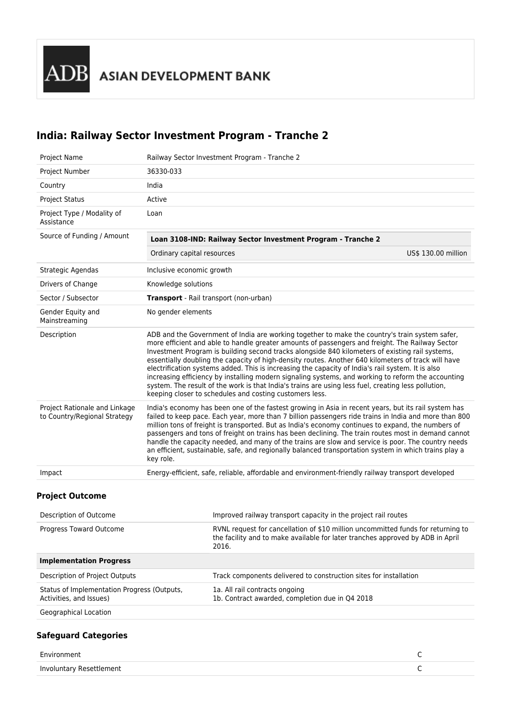ADB ASIAN DEVELOPMENT BANK

# **India: Railway Sector Investment Program - Tranche 2**

| Project Name                                                                               | Railway Sector Investment Program - Tranche 2                                                                                                                                                                                                                                                                                                                                                                                                                                                                                                                                                                                                                                                                                                                                            |                     |
|--------------------------------------------------------------------------------------------|------------------------------------------------------------------------------------------------------------------------------------------------------------------------------------------------------------------------------------------------------------------------------------------------------------------------------------------------------------------------------------------------------------------------------------------------------------------------------------------------------------------------------------------------------------------------------------------------------------------------------------------------------------------------------------------------------------------------------------------------------------------------------------------|---------------------|
| Project Number                                                                             | 36330-033                                                                                                                                                                                                                                                                                                                                                                                                                                                                                                                                                                                                                                                                                                                                                                                |                     |
| Country                                                                                    | India                                                                                                                                                                                                                                                                                                                                                                                                                                                                                                                                                                                                                                                                                                                                                                                    |                     |
| <b>Project Status</b>                                                                      | Active                                                                                                                                                                                                                                                                                                                                                                                                                                                                                                                                                                                                                                                                                                                                                                                   |                     |
| Project Type / Modality of<br>Assistance                                                   | Loan                                                                                                                                                                                                                                                                                                                                                                                                                                                                                                                                                                                                                                                                                                                                                                                     |                     |
| Source of Funding / Amount<br>Loan 3108-IND: Railway Sector Investment Program - Tranche 2 |                                                                                                                                                                                                                                                                                                                                                                                                                                                                                                                                                                                                                                                                                                                                                                                          |                     |
|                                                                                            | Ordinary capital resources                                                                                                                                                                                                                                                                                                                                                                                                                                                                                                                                                                                                                                                                                                                                                               | US\$ 130.00 million |
| Strategic Agendas                                                                          | Inclusive economic growth                                                                                                                                                                                                                                                                                                                                                                                                                                                                                                                                                                                                                                                                                                                                                                |                     |
| Drivers of Change                                                                          | Knowledge solutions                                                                                                                                                                                                                                                                                                                                                                                                                                                                                                                                                                                                                                                                                                                                                                      |                     |
| Sector / Subsector                                                                         | Transport - Rail transport (non-urban)                                                                                                                                                                                                                                                                                                                                                                                                                                                                                                                                                                                                                                                                                                                                                   |                     |
| Gender Equity and<br>Mainstreaming                                                         | No gender elements                                                                                                                                                                                                                                                                                                                                                                                                                                                                                                                                                                                                                                                                                                                                                                       |                     |
| Description                                                                                | ADB and the Government of India are working together to make the country's train system safer,<br>more efficient and able to handle greater amounts of passengers and freight. The Railway Sector<br>Investment Program is building second tracks alongside 840 kilometers of existing rail systems,<br>essentially doubling the capacity of high-density routes. Another 640 kilometers of track will have<br>electrification systems added. This is increasing the capacity of India's rail system. It is also<br>increasing efficiency by installing modern signaling systems, and working to reform the accounting<br>system. The result of the work is that India's trains are using less fuel, creating less pollution,<br>keeping closer to schedules and costing customers less. |                     |
| Project Rationale and Linkage<br>to Country/Regional Strategy                              | India's economy has been one of the fastest growing in Asia in recent years, but its rail system has<br>failed to keep pace. Each year, more than 7 billion passengers ride trains in India and more than 800<br>million tons of freight is transported. But as India's economy continues to expand, the numbers of<br>passengers and tons of freight on trains has been declining. The train routes most in demand cannot<br>handle the capacity needed, and many of the trains are slow and service is poor. The country needs<br>an efficient, sustainable, safe, and regionally balanced transportation system in which trains play a<br>key role.                                                                                                                                   |                     |
| Impact                                                                                     | Energy-efficient, safe, reliable, affordable and environment-friendly railway transport developed                                                                                                                                                                                                                                                                                                                                                                                                                                                                                                                                                                                                                                                                                        |                     |
| <b>Project Outcome</b>                                                                     |                                                                                                                                                                                                                                                                                                                                                                                                                                                                                                                                                                                                                                                                                                                                                                                          |                     |
| Description of Outcome                                                                     | Improved railway transport capacity in the project rail routes                                                                                                                                                                                                                                                                                                                                                                                                                                                                                                                                                                                                                                                                                                                           |                     |
|                                                                                            |                                                                                                                                                                                                                                                                                                                                                                                                                                                                                                                                                                                                                                                                                                                                                                                          |                     |

| Progress Toward Outcome                                                | RVNL request for cancellation of \$10 million uncommitted funds for returning to<br>the facility and to make available for later tranches approved by ADB in April<br>2016. |
|------------------------------------------------------------------------|-----------------------------------------------------------------------------------------------------------------------------------------------------------------------------|
| <b>Implementation Progress</b>                                         |                                                                                                                                                                             |
| Description of Project Outputs                                         | Track components delivered to construction sites for installation                                                                                                           |
| Status of Implementation Progress (Outputs,<br>Activities, and Issues) | 1a. All rail contracts ongoing<br>1b. Contract awarded, completion due in Q4 2018                                                                                           |
| Geographical Location                                                  |                                                                                                                                                                             |

# **Safeguard Categories**

| Environment              |  |
|--------------------------|--|
| Involuntary Resettlement |  |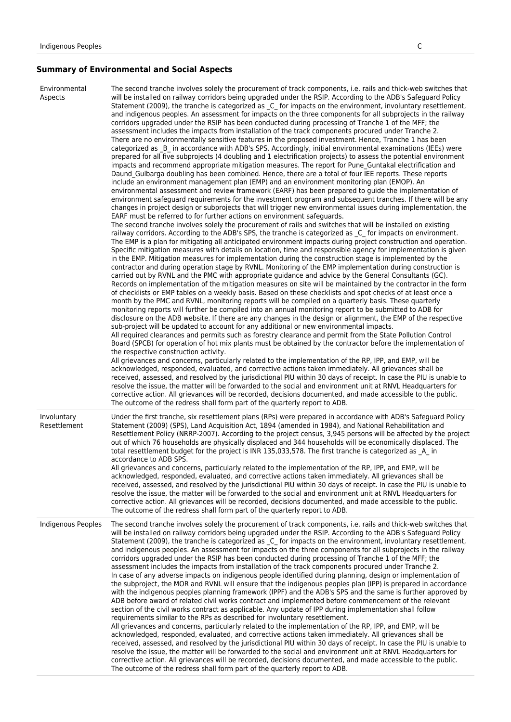# **Summary of Environmental and Social Aspects**

| Environmental<br>Aspects    | The second tranche involves solely the procurement of track components, i.e. rails and thick-web switches that<br>will be installed on railway corridors being upgraded under the RSIP. According to the ADB's Safeguard Policy<br>Statement (2009), the tranche is categorized as C for impacts on the environment, involuntary resettlement,<br>and indigenous peoples. An assessment for impacts on the three components for all subprojects in the railway<br>corridors upgraded under the RSIP has been conducted during processing of Tranche 1 of the MFF; the<br>assessment includes the impacts from installation of the track components procured under Tranche 2.<br>There are no environmentally sensitive features in the proposed investment. Hence, Tranche 1 has been<br>categorized as B in accordance with ADB's SPS. Accordingly, initial environmental examinations (IEEs) were<br>prepared for all five subprojects (4 doubling and 1 electrification projects) to assess the potential environment<br>impacts and recommend appropriate mitigation measures. The report for Pune Guntakal electrification and<br>Daund_Gulbarga doubling has been combined. Hence, there are a total of four IEE reports. These reports<br>include an environment management plan (EMP) and an environment monitoring plan (EMOP). An<br>environmental assessment and review framework (EARF) has been prepared to guide the implementation of<br>environment safeguard requirements for the investment program and subsequent tranches. If there will be any<br>changes in project design or subprojects that will trigger new environmental issues during implementation, the<br>EARF must be referred to for further actions on environment safeguards.<br>The second tranche involves solely the procurement of rails and switches that will be installed on existing<br>railway corridors. According to the ADB's SPS, the tranche is categorized as C for impacts on environment.<br>The EMP is a plan for mitigating all anticipated environment impacts during project construction and operation.<br>Specific mitigation measures with details on location, time and responsible agency for implementation is given<br>in the EMP. Mitigation measures for implementation during the construction stage is implemented by the<br>contractor and during operation stage by RVNL. Monitoring of the EMP implementation during construction is<br>carried out by RVNL and the PMC with appropriate guidance and advice by the General Consultants (GC).<br>Records on implementation of the mitigation measures on site will be maintained by the contractor in the form<br>of checklists or EMP tables on a weekly basis. Based on these checklists and spot checks of at least once a<br>month by the PMC and RVNL, monitoring reports will be compiled on a quarterly basis. These quarterly<br>monitoring reports will further be compiled into an annual monitoring report to be submitted to ADB for<br>disclosure on the ADB website. If there are any changes in the design or alignment, the EMP of the respective<br>sub-project will be updated to account for any additional or new environmental impacts.<br>All required clearances and permits such as forestry clearance and permit from the State Pollution Control<br>Board (SPCB) for operation of hot mix plants must be obtained by the contractor before the implementation of<br>the respective construction activity.<br>All grievances and concerns, particularly related to the implementation of the RP, IPP, and EMP, will be<br>acknowledged, responded, evaluated, and corrective actions taken immediately. All grievances shall be<br>received, assessed, and resolved by the jurisdictional PIU within 30 days of receipt. In case the PIU is unable to<br>resolve the issue, the matter will be forwarded to the social and environment unit at RNVL Headquarters for<br>corrective action. All grievances will be recorded, decisions documented, and made accessible to the public.<br>The outcome of the redress shall form part of the quarterly report to ADB. |
|-----------------------------|-------------------------------------------------------------------------------------------------------------------------------------------------------------------------------------------------------------------------------------------------------------------------------------------------------------------------------------------------------------------------------------------------------------------------------------------------------------------------------------------------------------------------------------------------------------------------------------------------------------------------------------------------------------------------------------------------------------------------------------------------------------------------------------------------------------------------------------------------------------------------------------------------------------------------------------------------------------------------------------------------------------------------------------------------------------------------------------------------------------------------------------------------------------------------------------------------------------------------------------------------------------------------------------------------------------------------------------------------------------------------------------------------------------------------------------------------------------------------------------------------------------------------------------------------------------------------------------------------------------------------------------------------------------------------------------------------------------------------------------------------------------------------------------------------------------------------------------------------------------------------------------------------------------------------------------------------------------------------------------------------------------------------------------------------------------------------------------------------------------------------------------------------------------------------------------------------------------------------------------------------------------------------------------------------------------------------------------------------------------------------------------------------------------------------------------------------------------------------------------------------------------------------------------------------------------------------------------------------------------------------------------------------------------------------------------------------------------------------------------------------------------------------------------------------------------------------------------------------------------------------------------------------------------------------------------------------------------------------------------------------------------------------------------------------------------------------------------------------------------------------------------------------------------------------------------------------------------------------------------------------------------------------------------------------------------------------------------------------------------------------------------------------------------------------------------------------------------------------------------------------------------------------------------------------------------------------------------------------------------------------------------------------------------------------------------------------------------------------------------------------------------------------------------------------------------------------------------------------------------------------------------------------------------------------------------------------------------------------------------------------------------------------------------------------------------------------------------------------------------------------------------------------------------------|
| Involuntary<br>Resettlement | Under the first tranche, six resettlement plans (RPs) were prepared in accordance with ADB's Safeguard Policy<br>Statement (2009) (SPS), Land Acquisition Act, 1894 (amended in 1984), and National Rehabilitation and<br>Resettlement Policy (NRRP-2007). According to the project census, 3,945 persons will be affected by the project<br>out of which 76 households are physically displaced and 344 households will be economically displaced. The<br>total resettlement budget for the project is INR 135,033,578. The first tranche is categorized as A in<br>accordance to ADB SPS.<br>All grievances and concerns, particularly related to the implementation of the RP, IPP, and EMP, will be<br>acknowledged, responded, evaluated, and corrective actions taken immediately. All grievances shall be<br>received, assessed, and resolved by the jurisdictional PIU within 30 days of receipt. In case the PIU is unable to<br>resolve the issue, the matter will be forwarded to the social and environment unit at RNVL Headquarters for<br>corrective action. All grievances will be recorded, decisions documented, and made accessible to the public.<br>The outcome of the redress shall form part of the quarterly report to ADB.                                                                                                                                                                                                                                                                                                                                                                                                                                                                                                                                                                                                                                                                                                                                                                                                                                                                                                                                                                                                                                                                                                                                                                                                                                                                                                                                                                                                                                                                                                                                                                                                                                                                                                                                                                                                                                                                                                                                                                                                                                                                                                                                                                                                                                                                                                                                                                                                                                                                                                                                                                                                                                                                                                                                                                                                                                                                                                               |
| Indigenous Peoples          | The second tranche involves solely the procurement of track components, i.e. rails and thick-web switches that<br>will be installed on railway corridors being upgraded under the RSIP. According to the ADB's Safeguard Policy<br>Statement (2009), the tranche is categorized as _C_ for impacts on the environment, involuntary resettlement,<br>and indigenous peoples. An assessment for impacts on the three components for all subprojects in the railway<br>corridors upgraded under the RSIP has been conducted during processing of Tranche 1 of the MFF; the<br>assessment includes the impacts from installation of the track components procured under Tranche 2.<br>In case of any adverse impacts on indigenous people identified during planning, design or implementation of<br>the subproject, the MOR and RVNL will ensure that the indigenous peoples plan (IPP) is prepared in accordance<br>with the indigenous peoples planning framework (IPPF) and the ADB's SPS and the same is further approved by<br>ADB before award of related civil works contract and implemented before commencement of the relevant<br>section of the civil works contract as applicable. Any update of IPP during implementation shall follow<br>requirements similar to the RPs as described for involuntary resettlement.<br>All grievances and concerns, particularly related to the implementation of the RP, IPP, and EMP, will be<br>acknowledged, responded, evaluated, and corrective actions taken immediately. All grievances shall be<br>received, assessed, and resolved by the jurisdictional PIU within 30 days of receipt. In case the PIU is unable to<br>resolve the issue, the matter will be forwarded to the social and environment unit at RNVL Headquarters for<br>corrective action. All grievances will be recorded, decisions documented, and made accessible to the public.<br>The outcome of the redress shall form part of the quarterly report to ADB.                                                                                                                                                                                                                                                                                                                                                                                                                                                                                                                                                                                                                                                                                                                                                                                                                                                                                                                                                                                                                                                                                                                                                                                                                                                                                                                                                                                                                                                                                                                                                                                                                                                                                                                                                                                                                                                                                                                                                                                                                                                                                                                                                                            |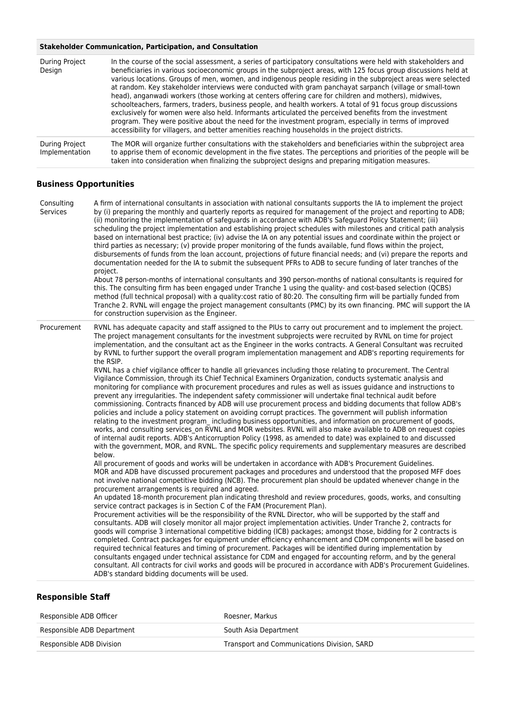### **Stakeholder Communication, Participation, and Consultation**

| During Project<br>Design         | In the course of the social assessment, a series of participatory consultations were held with stakeholders and<br>beneficiaries in various socioeconomic groups in the subproject areas, with 125 focus group discussions held at<br>various locations. Groups of men, women, and indigenous people residing in the subproject areas were selected<br>at random. Key stakeholder interviews were conducted with gram panchayat sarpanch (village or small-town<br>head), anganwadi workers (those working at centers offering care for children and mothers), midwives,<br>schoolteachers, farmers, traders, business people, and health workers. A total of 91 focus group discussions<br>exclusively for women were also held. Informants articulated the perceived benefits from the investment<br>program. They were positive about the need for the investment program, especially in terms of improved<br>accessibility for villagers, and better amenities reaching households in the project districts. |
|----------------------------------|------------------------------------------------------------------------------------------------------------------------------------------------------------------------------------------------------------------------------------------------------------------------------------------------------------------------------------------------------------------------------------------------------------------------------------------------------------------------------------------------------------------------------------------------------------------------------------------------------------------------------------------------------------------------------------------------------------------------------------------------------------------------------------------------------------------------------------------------------------------------------------------------------------------------------------------------------------------------------------------------------------------|
| During Project<br>Implementation | The MOR will organize further consultations with the stakeholders and beneficiaries within the subproject area<br>to apprise them of economic development in the five states. The perceptions and priorities of the people will be<br>taken into consideration when finalizing the subproject designs and preparing mitigation measures.                                                                                                                                                                                                                                                                                                                                                                                                                                                                                                                                                                                                                                                                         |

### **Business Opportunities**

| Consulting<br>Services | A firm of international consultants in association with national consultants supports the IA to implement the project<br>by (i) preparing the monthly and quarterly reports as required for management of the project and reporting to ADB;<br>(ii) monitoring the implementation of safeguards in accordance with ADB's Safeguard Policy Statement; (iii)<br>scheduling the project implementation and establishing project schedules with milestones and critical path analysis<br>based on international best practice; (iv) advise the IA on any potential issues and coordinate within the project or<br>third parties as necessary; (v) provide proper monitoring of the funds available, fund flows within the project,<br>disbursements of funds from the loan account, projections of future financial needs; and (vi) prepare the reports and<br>documentation needed for the IA to submit the subsequent PFRs to ADB to secure funding of later tranches of the<br>project.<br>About 78 person-months of international consultants and 390 person-months of national consultants is required for<br>this. The consulting firm has been engaged under Tranche 1 using the quality- and cost-based selection (QCBS)<br>method (full technical proposal) with a quality:cost ratio of 80:20. The consulting firm will be partially funded from<br>Tranche 2. RVNL will engage the project management consultants (PMC) by its own financing. PMC will support the IA<br>for construction supervision as the Engineer.                                                                                                                                                                                                                                                                                                                                                                                                                                                                                                                                                                                                                                                                                                                                                                                                                                                                                                                                                                                                                                                                                                                                                                                                                                                                                                                                                                                                                                                                                                                                                                                                                             |
|------------------------|-----------------------------------------------------------------------------------------------------------------------------------------------------------------------------------------------------------------------------------------------------------------------------------------------------------------------------------------------------------------------------------------------------------------------------------------------------------------------------------------------------------------------------------------------------------------------------------------------------------------------------------------------------------------------------------------------------------------------------------------------------------------------------------------------------------------------------------------------------------------------------------------------------------------------------------------------------------------------------------------------------------------------------------------------------------------------------------------------------------------------------------------------------------------------------------------------------------------------------------------------------------------------------------------------------------------------------------------------------------------------------------------------------------------------------------------------------------------------------------------------------------------------------------------------------------------------------------------------------------------------------------------------------------------------------------------------------------------------------------------------------------------------------------------------------------------------------------------------------------------------------------------------------------------------------------------------------------------------------------------------------------------------------------------------------------------------------------------------------------------------------------------------------------------------------------------------------------------------------------------------------------------------------------------------------------------------------------------------------------------------------------------------------------------------------------------------------------------------------------------------------------------------------------------------------------------------------------------------------------------------------------------------------------------------------------------------------------------------------------------------------------------------------------------------------------------------------------------------------------------------------------------------------------------------------------------------------------------------------------------------------------------------------------------------------------------------------------------------------------------------------------------------------------|
| Procurement            | RVNL has adequate capacity and staff assigned to the PIUs to carry out procurement and to implement the project.<br>The project management consultants for the investment subprojects were recruited by RVNL on time for project<br>implementation, and the consultant act as the Engineer in the works contracts. A General Consultant was recruited<br>by RVNL to further support the overall program implementation management and ADB's reporting requirements for<br>the RSIP.<br>RVNL has a chief vigilance officer to handle all grievances including those relating to procurement. The Central<br>Vigilance Commission, through its Chief Technical Examiners Organization, conducts systematic analysis and<br>monitoring for compliance with procurement procedures and rules as well as issues guidance and instructions to<br>prevent any irregularities. The independent safety commissioner will undertake final technical audit before<br>commissioning. Contracts financed by ADB will use procurement process and bidding documents that follow ADB's<br>policies and include a policy statement on avoiding corrupt practices. The government will publish information<br>relating to the investment program including business opportunities, and information on procurement of goods,<br>works, and consulting services on RVNL and MOR websites. RVNL will also make available to ADB on request copies<br>of internal audit reports. ADB's Anticorruption Policy (1998, as amended to date) was explained to and discussed<br>with the government, MOR, and RVNL. The specific policy requirements and supplementary measures are described<br>below.<br>All procurement of goods and works will be undertaken in accordance with ADB's Procurement Guidelines.<br>MOR and ADB have discussed procurement packages and procedures and understood that the proposed MFF does<br>not involve national competitive bidding (NCB). The procurement plan should be updated whenever change in the<br>procurement arrangements is required and agreed.<br>An updated 18-month procurement plan indicating threshold and review procedures, goods, works, and consulting<br>service contract packages is in Section C of the FAM (Procurement Plan).<br>Procurement activities will be the responsibility of the RVNL Director, who will be supported by the staff and<br>consultants. ADB will closely monitor all major project implementation activities. Under Tranche 2, contracts for<br>goods will comprise 3 international competitive bidding (ICB) packages; amongst those, bidding for 2 contracts is<br>completed. Contract packages for equipment under efficiency enhancement and CDM components will be based on<br>required technical features and timing of procurement. Packages will be identified during implementation by<br>consultants engaged under technical assistance for CDM and engaged for accounting reform, and by the general<br>consultant. All contracts for civil works and goods will be procured in accordance with ADB's Procurement Guidelines.<br>ADB's standard bidding documents will be used. |

## **Responsible Staff**

| Responsible ADB Officer    | Roesner, Markus                             |
|----------------------------|---------------------------------------------|
| Responsible ADB Department | South Asia Department                       |
| Responsible ADB Division   | Transport and Communications Division, SARD |